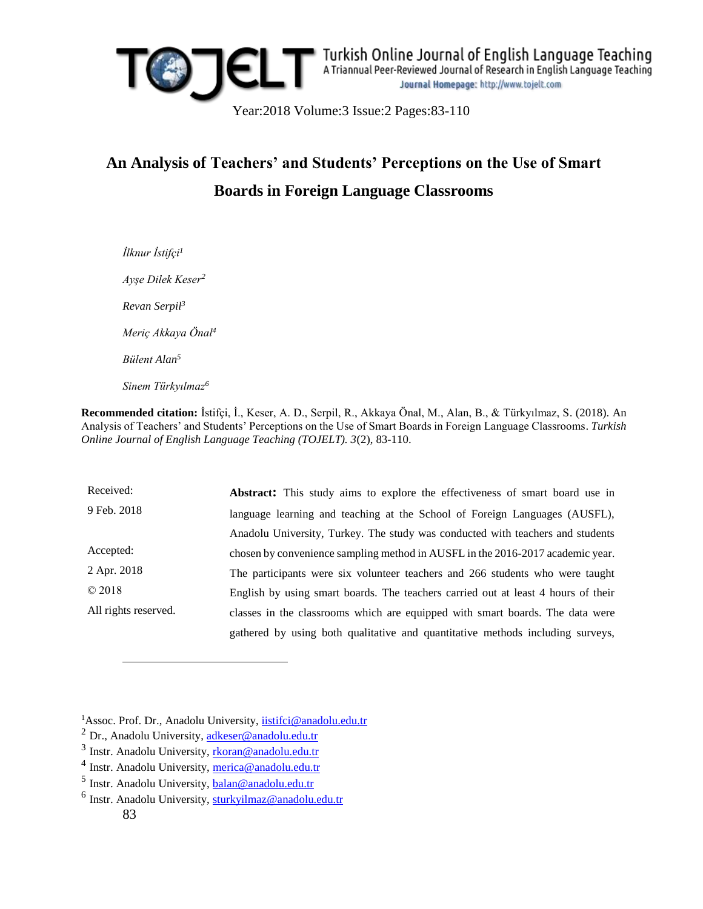

*İlknur İstifçi<sup>1</sup> Ayşe Dilek Keser<sup>2</sup> Revan Serpil<sup>3</sup> Meriç Akkaya Önal<sup>4</sup> Bülent Alan<sup>5</sup> Sinem Türkyılmaz<sup>6</sup>*

**Recommended citation:** İstifçi, İ., Keser, A. D., Serpil, R., Akkaya Önal, M., Alan, B., & Türkyılmaz, S. (2018). An Analysis of Teachers' and Students' Perceptions on the Use of Smart Boards in Foreign Language Classrooms. *Turkish Online Journal of English Language Teaching (TOJELT). 3*(2), 83-110.

Received: 9 Feb. 2018 Accepted: 2 Apr. 2018 © 2018 All rights reserved. **Abstract:** This study aims to explore the effectiveness of smart board use in language learning and teaching at the School of Foreign Languages (AUSFL), Anadolu University, Turkey. The study was conducted with teachers and students chosen by convenience sampling method in AUSFL in the 2016-2017 academic year. The participants were six volunteer teachers and 266 students who were taught English by using smart boards. The teachers carried out at least 4 hours of their classes in the classrooms which are equipped with smart boards. The data were gathered by using both qualitative and quantitative methods including surveys,

<sup>1</sup>Assoc. Prof. Dr., Anadolu University, [iistifci@anadolu.edu.tr](mailto:iistifci@anadolu.edu.tr)

 $\overline{a}$ 

 $^{2}$  Dr., Anadolu University, [adkeser@anadolu.edu.tr](mailto:adkeser@anadolu.edu.tr)

<sup>&</sup>lt;sup>3</sup> Instr. Anadolu University, [rkoran@anadolu.edu.tr](mailto:rkoran@anadolu.edu.tr)

<sup>&</sup>lt;sup>4</sup> Instr. Anadolu University, [merica@anadolu.edu.tr](mailto:merica@anadolu.edu.tr)

<sup>&</sup>lt;sup>5</sup> Instr. Anadolu University, **balan@anadolu.edu.tr** 

<sup>83</sup> <sup>6</sup> Instr. Anadolu University, [sturkyilmaz@anadolu.edu.tr](mailto:sturkyilmaz@anadolu.edu.tr)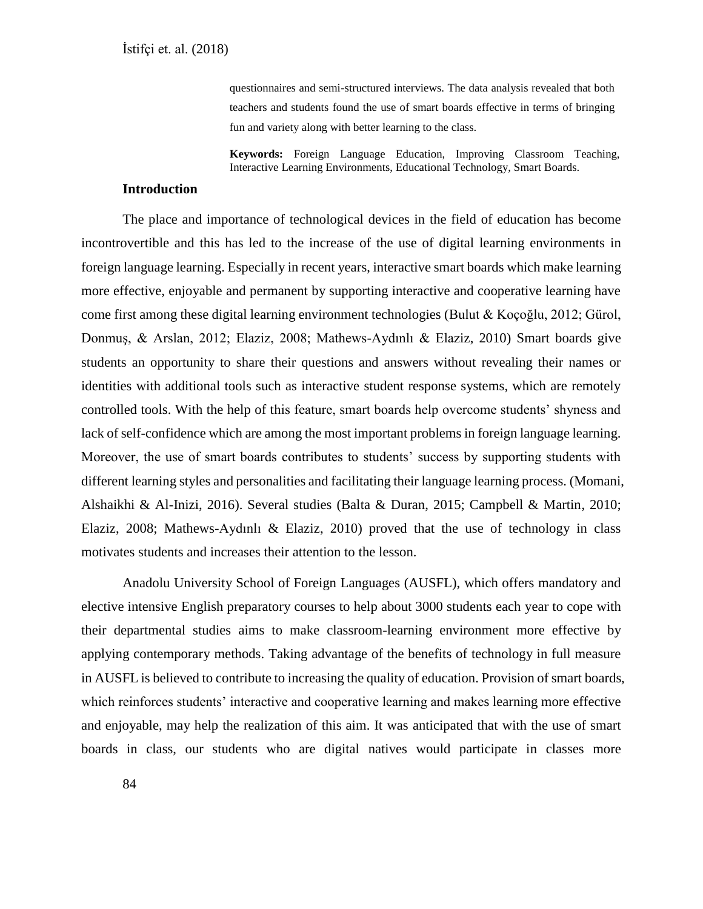questionnaires and semi-structured interviews. The data analysis revealed that both teachers and students found the use of smart boards effective in terms of bringing fun and variety along with better learning to the class.

**Keywords:** Foreign Language Education, Improving Classroom Teaching, Interactive Learning Environments, Educational Technology, Smart Boards.

# **Introduction**

The place and importance of technological devices in the field of education has become incontrovertible and this has led to the increase of the use of digital learning environments in foreign language learning. Especially in recent years, interactive smart boards which make learning more effective, enjoyable and permanent by supporting interactive and cooperative learning have come first among these digital learning environment technologies (Bulut & Koçoğlu, 2012; Gürol, Donmuş, & Arslan, 2012; Elaziz, 2008; Mathews-Aydınlı & Elaziz, 2010) Smart boards give students an opportunity to share their questions and answers without revealing their names or identities with additional tools such as interactive student response systems, which are remotely controlled tools. With the help of this feature, smart boards help overcome students' shyness and lack of self-confidence which are among the most important problems in foreign language learning. Moreover, the use of smart boards contributes to students' success by supporting students with different learning styles and personalities and facilitating their language learning process. (Momani, Alshaikhi & Al-Inizi, 2016). Several studies (Balta & Duran, 2015; Campbell & Martin, 2010; Elaziz, 2008; Mathews-Aydınlı & Elaziz, 2010) proved that the use of technology in class motivates students and increases their attention to the lesson.

Anadolu University School of Foreign Languages (AUSFL), which offers mandatory and elective intensive English preparatory courses to help about 3000 students each year to cope with their departmental studies aims to make classroom-learning environment more effective by applying contemporary methods. Taking advantage of the benefits of technology in full measure in AUSFL is believed to contribute to increasing the quality of education. Provision of smart boards, which reinforces students' interactive and cooperative learning and makes learning more effective and enjoyable, may help the realization of this aim. It was anticipated that with the use of smart boards in class, our students who are digital natives would participate in classes more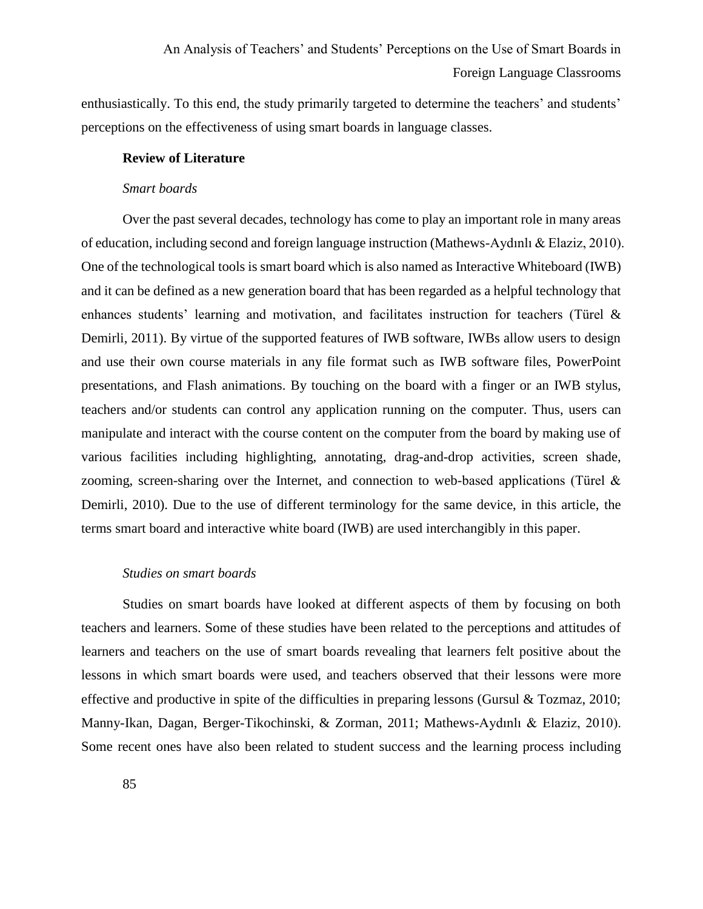enthusiastically. To this end, the study primarily targeted to determine the teachers' and students' perceptions on the effectiveness of using smart boards in language classes.

## **Review of Literature**

#### *Smart boards*

Over the past several decades, technology has come to play an important role in many areas of education, including second and foreign language instruction (Mathews-Aydınlı & Elaziz, 2010). One of the technological tools is smart board which is also named as Interactive Whiteboard (IWB) and it can be defined as a new generation board that has been regarded as a helpful technology that enhances students' learning and motivation, and facilitates instruction for teachers (Türel & Demirli, 2011). By virtue of the supported features of IWB software, IWBs allow users to design and use their own course materials in any file format such as IWB software files, PowerPoint presentations, and Flash animations. By touching on the board with a finger or an IWB stylus, teachers and/or students can control any application running on the computer. Thus, users can manipulate and interact with the course content on the computer from the board by making use of various facilities including highlighting, annotating, drag-and-drop activities, screen shade, zooming, screen-sharing over the Internet, and connection to web-based applications (Türel & Demirli, 2010). Due to the use of different terminology for the same device, in this article, the terms smart board and interactive white board (IWB) are used interchangibly in this paper.

#### *Studies on smart boards*

Studies on smart boards have looked at different aspects of them by focusing on both teachers and learners. Some of these studies have been related to the perceptions and attitudes of learners and teachers on the use of smart boards revealing that learners felt positive about the lessons in which smart boards were used, and teachers observed that their lessons were more effective and productive in spite of the difficulties in preparing lessons (Gursul & Tozmaz, 2010; Manny-Ikan, Dagan, Berger-Tikochinski, & Zorman, 2011; Mathews-Aydınlı & Elaziz, 2010). Some recent ones have also been related to student success and the learning process including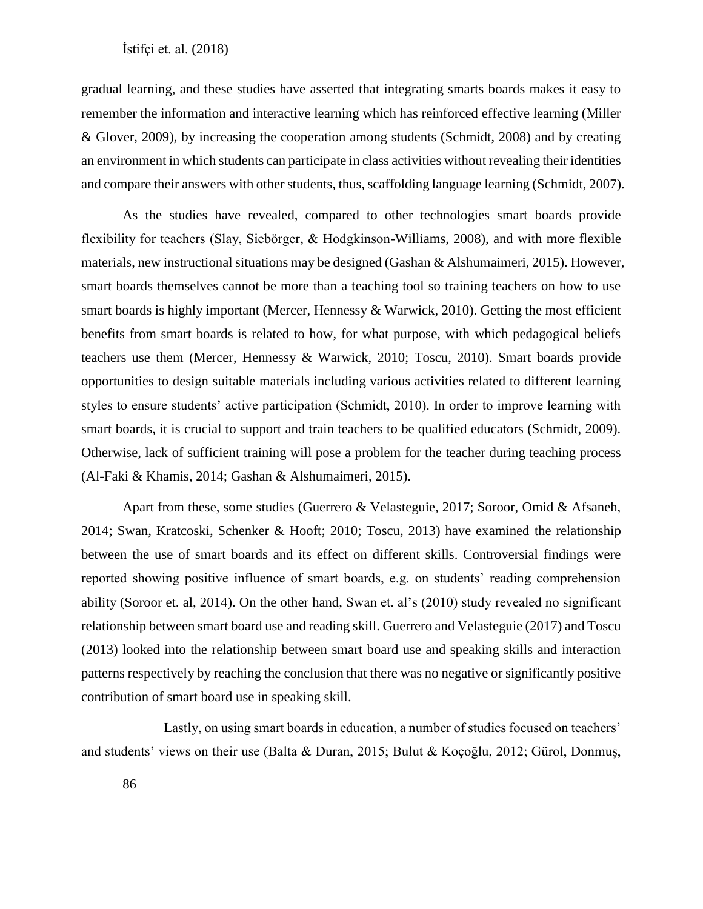gradual learning, and these studies have asserted that integrating smarts boards makes it easy to remember the information and interactive learning which has reinforced effective learning (Miller & Glover, 2009), by increasing the cooperation among students (Schmidt, 2008) and by creating an environment in which students can participate in class activities without revealing their identities and compare their answers with other students, thus, scaffolding language learning (Schmidt, 2007).

As the studies have revealed, compared to other technologies smart boards provide flexibility for teachers (Slay, Siebörger, & Hodgkinson-Williams, 2008), and with more flexible materials, new instructional situations may be designed (Gashan & Alshumaimeri, 2015). However, smart boards themselves cannot be more than a teaching tool so training teachers on how to use smart boards is highly important (Mercer, Hennessy & Warwick, 2010). Getting the most efficient benefits from smart boards is related to how, for what purpose, with which pedagogical beliefs teachers use them (Mercer, Hennessy & Warwick, 2010; Toscu, 2010). Smart boards provide opportunities to design suitable materials including various activities related to different learning styles to ensure students' active participation (Schmidt, 2010). In order to improve learning with smart boards, it is crucial to support and train teachers to be qualified educators (Schmidt, 2009). Otherwise, lack of sufficient training will pose a problem for the teacher during teaching process (Al-Faki & Khamis, 2014; Gashan & Alshumaimeri, 2015).

Apart from these, some studies (Guerrero & Velasteguie, 2017; Soroor, Omid & Afsaneh, 2014; Swan, Kratcoski, Schenker & Hooft; 2010; Toscu, 2013) have examined the relationship between the use of smart boards and its effect on different skills. Controversial findings were reported showing positive influence of smart boards, e.g. on students' reading comprehension ability (Soroor et. al, 2014). On the other hand, Swan et. al's (2010) study revealed no significant relationship between smart board use and reading skill. Guerrero and Velasteguie (2017) and Toscu (2013) looked into the relationship between smart board use and speaking skills and interaction patterns respectively by reaching the conclusion that there was no negative or significantly positive contribution of smart board use in speaking skill.

Lastly, on using smart boards in education, a number of studies focused on teachers' and students' views on their use (Balta & Duran, 2015; Bulut & Koçoğlu, 2012; Gürol, Donmuş,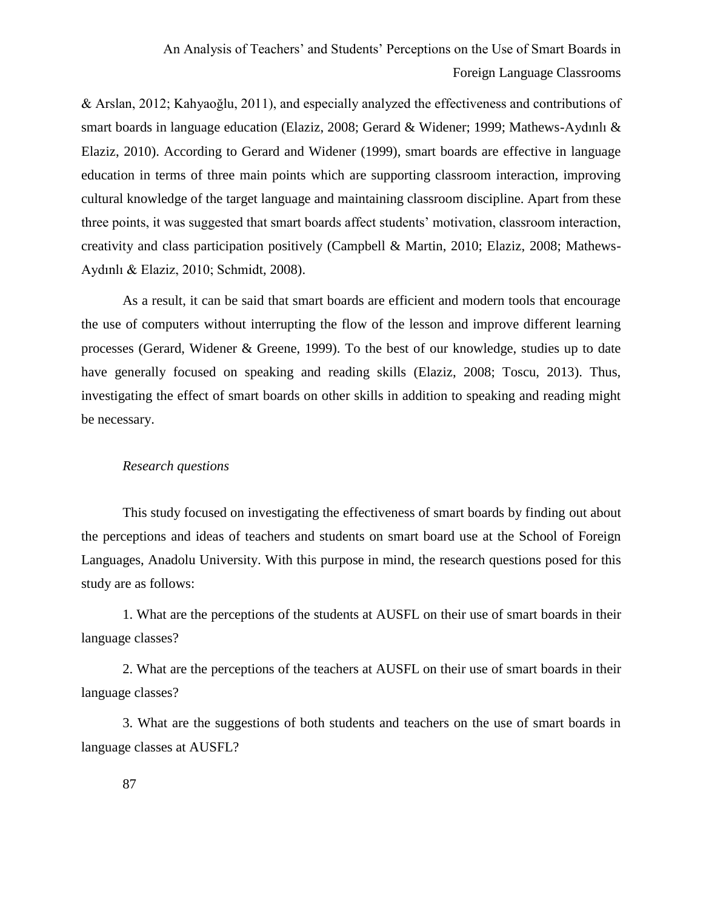& Arslan, 2012; Kahyaoğlu, 2011), and especially analyzed the effectiveness and contributions of smart boards in language education (Elaziz, 2008; Gerard & Widener; 1999; Mathews-Aydınlı & Elaziz, 2010). According to Gerard and Widener (1999), smart boards are effective in language education in terms of three main points which are supporting classroom interaction, improving cultural knowledge of the target language and maintaining classroom discipline. Apart from these three points, it was suggested that smart boards affect students' motivation, classroom interaction, creativity and class participation positively (Campbell & Martin, 2010; Elaziz, 2008; Mathews-Aydınlı & Elaziz, 2010; Schmidt, 2008).

As a result, it can be said that smart boards are efficient and modern tools that encourage the use of computers without interrupting the flow of the lesson and improve different learning processes (Gerard, Widener & Greene, 1999). To the best of our knowledge, studies up to date have generally focused on speaking and reading skills (Elaziz, 2008; Toscu, 2013). Thus, investigating the effect of smart boards on other skills in addition to speaking and reading might be necessary.

### *Research questions*

This study focused on investigating the effectiveness of smart boards by finding out about the perceptions and ideas of teachers and students on smart board use at the School of Foreign Languages, Anadolu University. With this purpose in mind, the research questions posed for this study are as follows:

1. What are the perceptions of the students at AUSFL on their use of smart boards in their language classes?

2. What are the perceptions of the teachers at AUSFL on their use of smart boards in their language classes?

3. What are the suggestions of both students and teachers on the use of smart boards in language classes at AUSFL?

87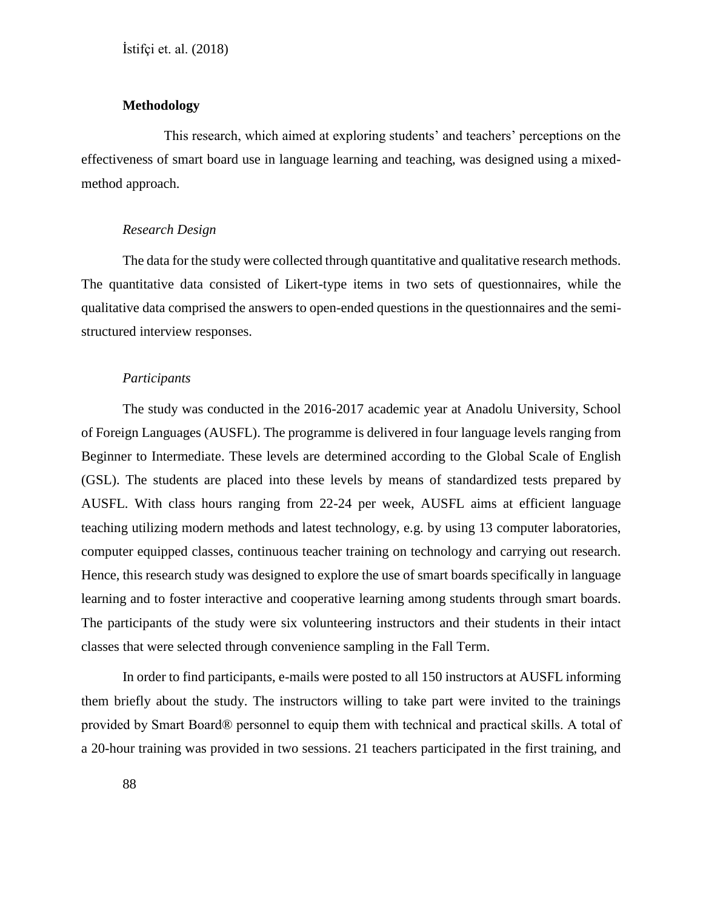### **Methodology**

This research, which aimed at exploring students' and teachers' perceptions on the effectiveness of smart board use in language learning and teaching, was designed using a mixedmethod approach.

### *Research Design*

The data for the study were collected through quantitative and qualitative research methods. The quantitative data consisted of Likert-type items in two sets of questionnaires, while the qualitative data comprised the answers to open-ended questions in the questionnaires and the semistructured interview responses.

#### *Participants*

The study was conducted in the 2016-2017 academic year at Anadolu University, School of Foreign Languages (AUSFL). The programme is delivered in four language levels ranging from Beginner to Intermediate. These levels are determined according to the Global Scale of English (GSL). The students are placed into these levels by means of standardized tests prepared by AUSFL. With class hours ranging from 22-24 per week, AUSFL aims at efficient language teaching utilizing modern methods and latest technology, e.g. by using 13 computer laboratories, computer equipped classes, continuous teacher training on technology and carrying out research. Hence, this research study was designed to explore the use of smart boards specifically in language learning and to foster interactive and cooperative learning among students through smart boards. The participants of the study were six volunteering instructors and their students in their intact classes that were selected through convenience sampling in the Fall Term.

In order to find participants, e-mails were posted to all 150 instructors at AUSFL informing them briefly about the study. The instructors willing to take part were invited to the trainings provided by Smart Board® personnel to equip them with technical and practical skills. A total of a 20-hour training was provided in two sessions. 21 teachers participated in the first training, and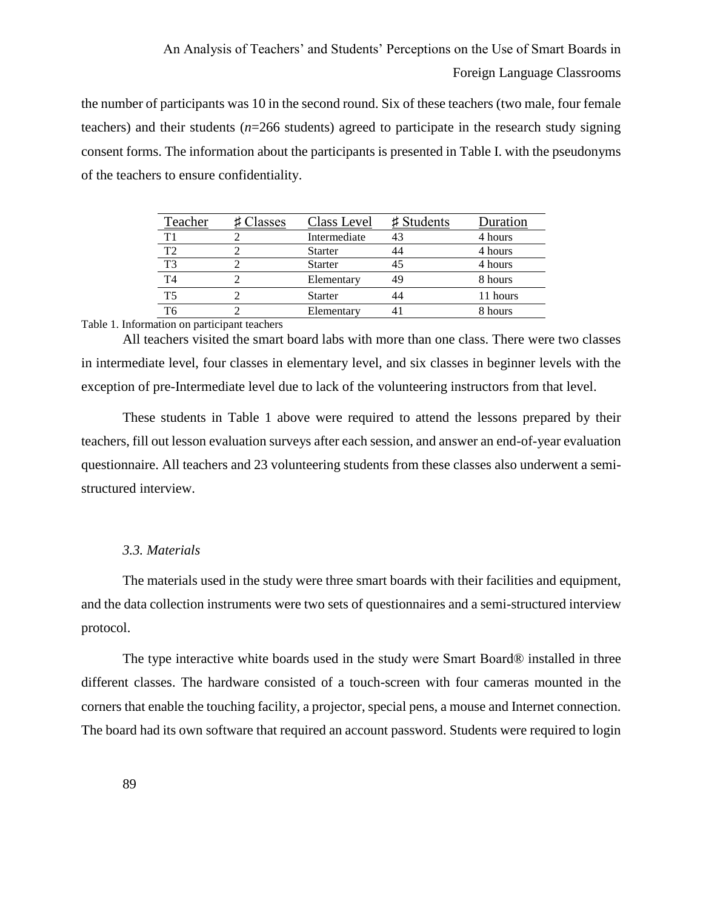the number of participants was 10 in the second round. Six of these teachers (two male, four female teachers) and their students (*n*=266 students) agreed to participate in the research study signing consent forms. The information about the participants is presented in Table I. with the pseudonyms of the teachers to ensure confidentiality.

| Teacher        | Classes | Class Level    | $\sharp$ Students | Duration |
|----------------|---------|----------------|-------------------|----------|
| Τ1             |         | Intermediate   | 43                | 4 hours  |
| T <sub>2</sub> |         | <b>Starter</b> | 44                | 4 hours  |
| T <sub>3</sub> |         | <b>Starter</b> | 45                | 4 hours  |
| T <sub>4</sub> |         | Elementary     | 49                | 8 hours  |
| T <sub>5</sub> |         | <b>Starter</b> | 44                | 11 hours |
| T6             |         | Elementary     |                   | 8 hours  |

#### Table 1. Information on participant teachers

All teachers visited the smart board labs with more than one class. There were two classes in intermediate level, four classes in elementary level, and six classes in beginner levels with the exception of pre-Intermediate level due to lack of the volunteering instructors from that level.

These students in Table 1 above were required to attend the lessons prepared by their teachers, fill out lesson evaluation surveys after each session, and answer an end-of-year evaluation questionnaire. All teachers and 23 volunteering students from these classes also underwent a semistructured interview.

# *3.3. Materials*

The materials used in the study were three smart boards with their facilities and equipment, and the data collection instruments were two sets of questionnaires and a semi-structured interview protocol.

The type interactive white boards used in the study were Smart Board® installed in three different classes. The hardware consisted of a touch-screen with four cameras mounted in the corners that enable the touching facility, a projector, special pens, a mouse and Internet connection. The board had its own software that required an account password. Students were required to login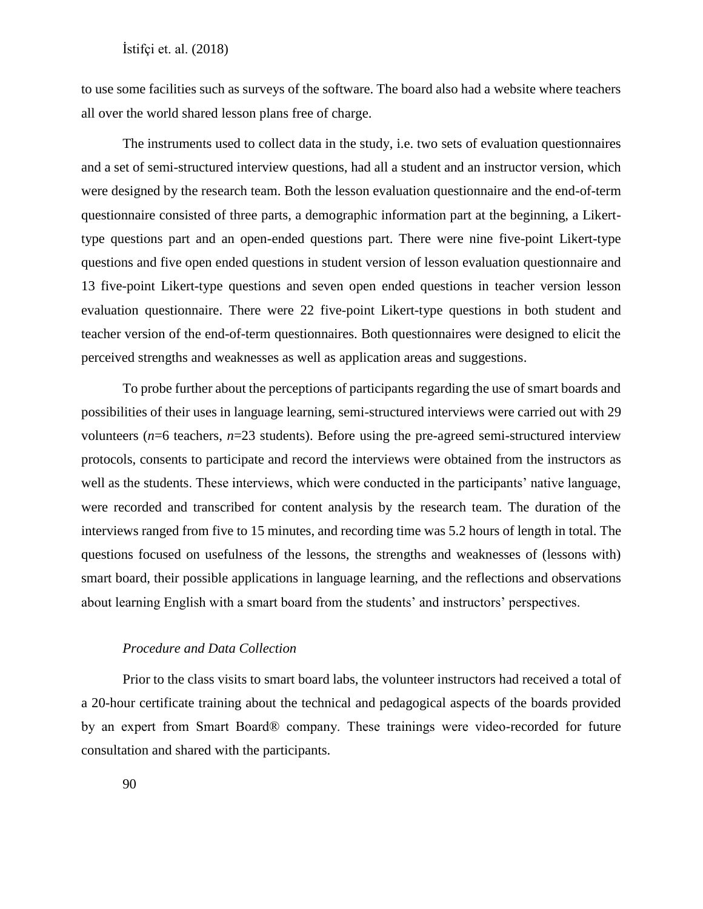to use some facilities such as surveys of the software. The board also had a website where teachers all over the world shared lesson plans free of charge.

The instruments used to collect data in the study, i.e. two sets of evaluation questionnaires and a set of semi-structured interview questions, had all a student and an instructor version, which were designed by the research team. Both the lesson evaluation questionnaire and the end-of-term questionnaire consisted of three parts, a demographic information part at the beginning, a Likerttype questions part and an open-ended questions part. There were nine five-point Likert-type questions and five open ended questions in student version of lesson evaluation questionnaire and 13 five-point Likert-type questions and seven open ended questions in teacher version lesson evaluation questionnaire. There were 22 five-point Likert-type questions in both student and teacher version of the end-of-term questionnaires. Both questionnaires were designed to elicit the perceived strengths and weaknesses as well as application areas and suggestions.

To probe further about the perceptions of participants regarding the use of smart boards and possibilities of their uses in language learning, semi-structured interviews were carried out with 29 volunteers ( $n=6$  teachers,  $n=23$  students). Before using the pre-agreed semi-structured interview protocols, consents to participate and record the interviews were obtained from the instructors as well as the students. These interviews, which were conducted in the participants' native language, were recorded and transcribed for content analysis by the research team. The duration of the interviews ranged from five to 15 minutes, and recording time was 5.2 hours of length in total. The questions focused on usefulness of the lessons, the strengths and weaknesses of (lessons with) smart board, their possible applications in language learning, and the reflections and observations about learning English with a smart board from the students' and instructors' perspectives.

### *Procedure and Data Collection*

Prior to the class visits to smart board labs, the volunteer instructors had received a total of a 20-hour certificate training about the technical and pedagogical aspects of the boards provided by an expert from Smart Board® company. These trainings were video-recorded for future consultation and shared with the participants.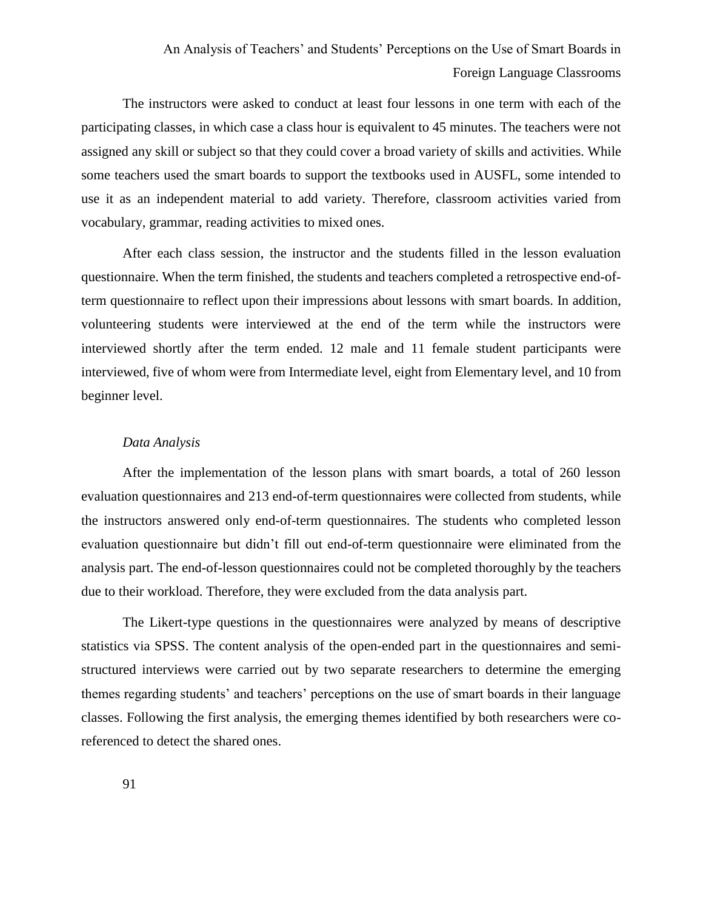The instructors were asked to conduct at least four lessons in one term with each of the participating classes, in which case a class hour is equivalent to 45 minutes. The teachers were not assigned any skill or subject so that they could cover a broad variety of skills and activities. While some teachers used the smart boards to support the textbooks used in AUSFL, some intended to use it as an independent material to add variety. Therefore, classroom activities varied from vocabulary, grammar, reading activities to mixed ones.

After each class session, the instructor and the students filled in the lesson evaluation questionnaire. When the term finished, the students and teachers completed a retrospective end-ofterm questionnaire to reflect upon their impressions about lessons with smart boards. In addition, volunteering students were interviewed at the end of the term while the instructors were interviewed shortly after the term ended. 12 male and 11 female student participants were interviewed, five of whom were from Intermediate level, eight from Elementary level, and 10 from beginner level.

#### *Data Analysis*

After the implementation of the lesson plans with smart boards, a total of 260 lesson evaluation questionnaires and 213 end-of-term questionnaires were collected from students, while the instructors answered only end-of-term questionnaires. The students who completed lesson evaluation questionnaire but didn't fill out end-of-term questionnaire were eliminated from the analysis part. The end-of-lesson questionnaires could not be completed thoroughly by the teachers due to their workload. Therefore, they were excluded from the data analysis part.

The Likert-type questions in the questionnaires were analyzed by means of descriptive statistics via SPSS. The content analysis of the open-ended part in the questionnaires and semistructured interviews were carried out by two separate researchers to determine the emerging themes regarding students' and teachers' perceptions on the use of smart boards in their language classes. Following the first analysis, the emerging themes identified by both researchers were coreferenced to detect the shared ones.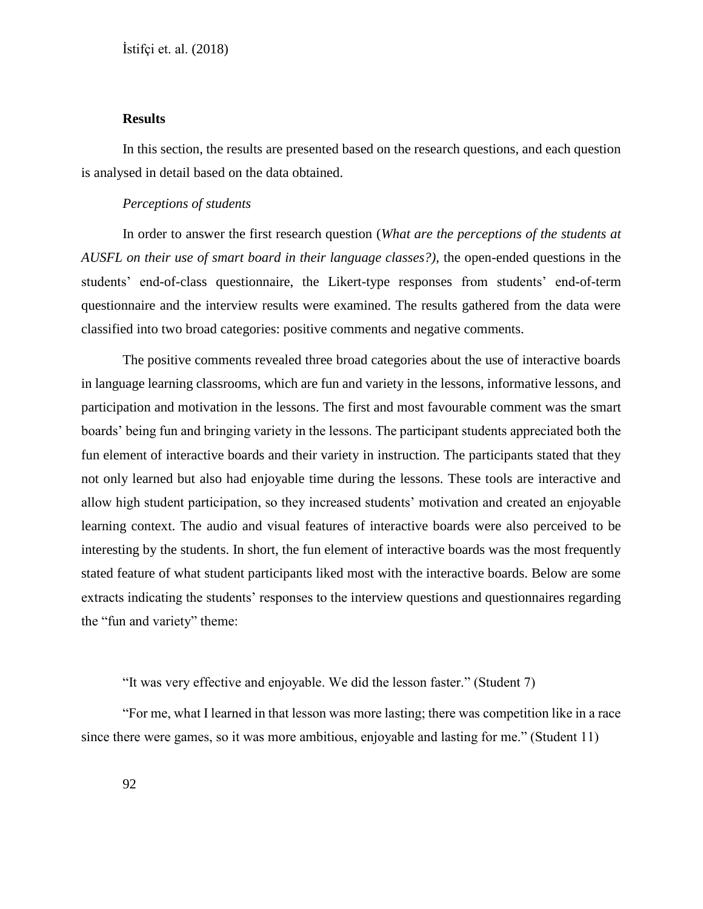### **Results**

In this section, the results are presented based on the research questions, and each question is analysed in detail based on the data obtained.

# *Perceptions of students*

In order to answer the first research question (*What are the perceptions of the students at AUSFL on their use of smart board in their language classes?)*, the open-ended questions in the students' end-of-class questionnaire, the Likert-type responses from students' end-of-term questionnaire and the interview results were examined. The results gathered from the data were classified into two broad categories: positive comments and negative comments.

The positive comments revealed three broad categories about the use of interactive boards in language learning classrooms, which are fun and variety in the lessons, informative lessons, and participation and motivation in the lessons. The first and most favourable comment was the smart boards' being fun and bringing variety in the lessons. The participant students appreciated both the fun element of interactive boards and their variety in instruction. The participants stated that they not only learned but also had enjoyable time during the lessons. These tools are interactive and allow high student participation, so they increased students' motivation and created an enjoyable learning context. The audio and visual features of interactive boards were also perceived to be interesting by the students. In short, the fun element of interactive boards was the most frequently stated feature of what student participants liked most with the interactive boards. Below are some extracts indicating the students' responses to the interview questions and questionnaires regarding the "fun and variety" theme:

"It was very effective and enjoyable. We did the lesson faster." (Student 7)

"For me, what I learned in that lesson was more lasting; there was competition like in a race since there were games, so it was more ambitious, enjoyable and lasting for me." (Student 11)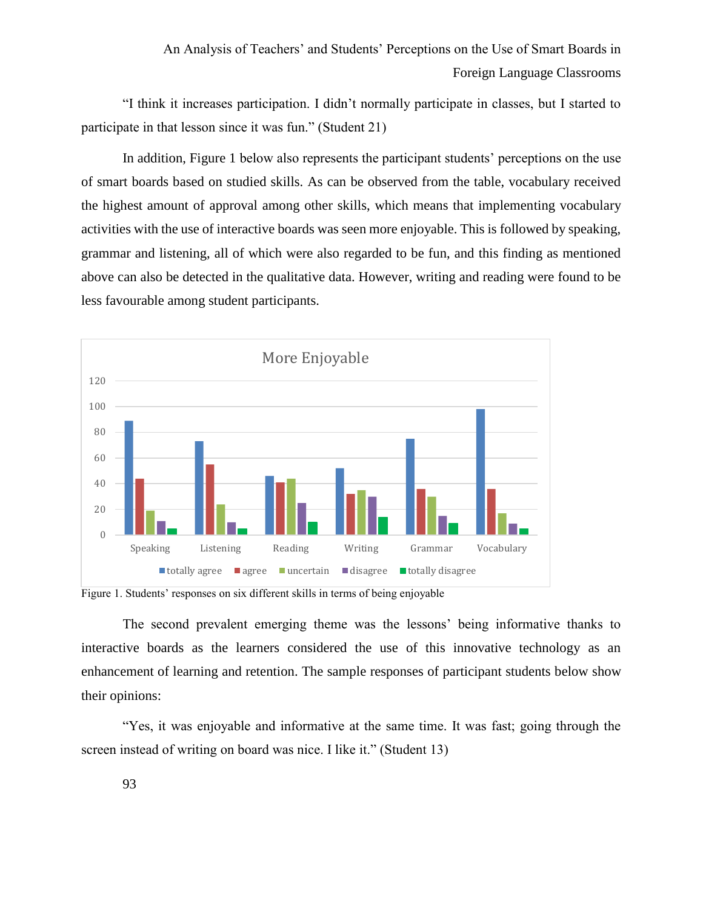"I think it increases participation. I didn't normally participate in classes, but I started to participate in that lesson since it was fun." (Student 21)

In addition, Figure 1 below also represents the participant students' perceptions on the use of smart boards based on studied skills. As can be observed from the table, vocabulary received the highest amount of approval among other skills, which means that implementing vocabulary activities with the use of interactive boards was seen more enjoyable. This is followed by speaking, grammar and listening, all of which were also regarded to be fun, and this finding as mentioned above can also be detected in the qualitative data. However, writing and reading were found to be less favourable among student participants.



Figure 1. Students' responses on six different skills in terms of being enjoyable

The second prevalent emerging theme was the lessons' being informative thanks to interactive boards as the learners considered the use of this innovative technology as an enhancement of learning and retention. The sample responses of participant students below show their opinions:

"Yes, it was enjoyable and informative at the same time. It was fast; going through the screen instead of writing on board was nice. I like it." (Student 13)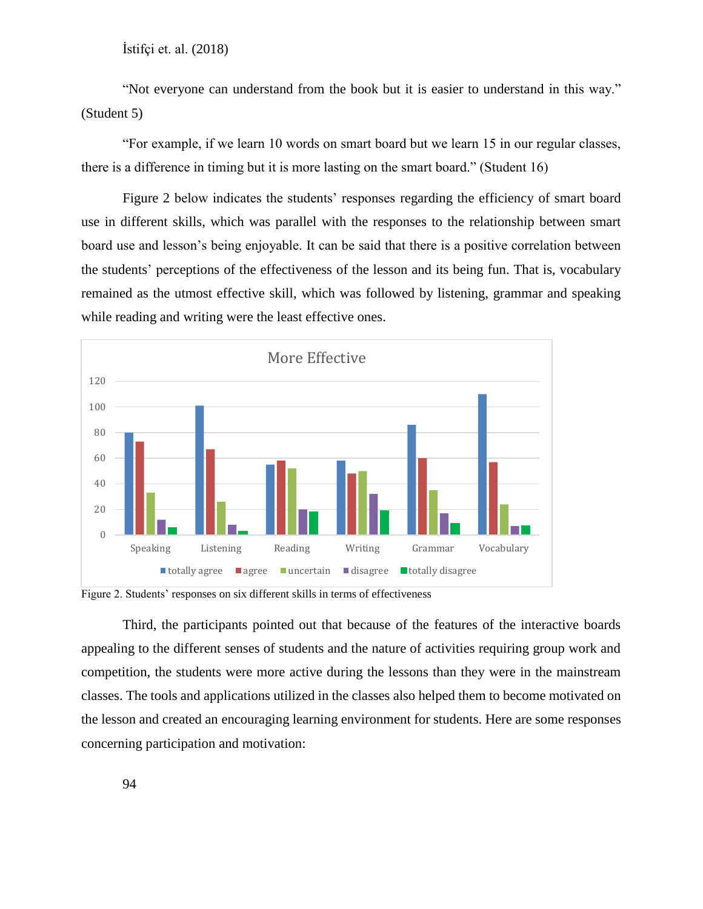"Not everyone can understand from the book but it is easier to understand in this way." (Student 5)

"For example, if we learn 10 words on smart board but we learn 15 in our regular classes, there is a difference in timing but it is more lasting on the smart board." (Student 16)

Figure 2 below indicates the students' responses regarding the efficiency of smart board use in different skills, which was parallel with the responses to the relationship between smart board use and lesson's being enjoyable. It can be said that there is a positive correlation between the students' perceptions of the effectiveness of the lesson and its being fun. That is, vocabulary remained as the utmost effective skill, which was followed by listening, grammar and speaking while reading and writing were the least effective ones.



Figure 2. Students' responses on six different skills in terms of effectiveness

Third, the participants pointed out that because of the features of the interactive boards appealing to the different senses of students and the nature of activities requiring group work and competition, the students were more active during the lessons than they were in the mainstream classes. The tools and applications utilized in the classes also helped them to become motivated on the lesson and created an encouraging learning environment for students. Here are some responses concerning participation and motivation: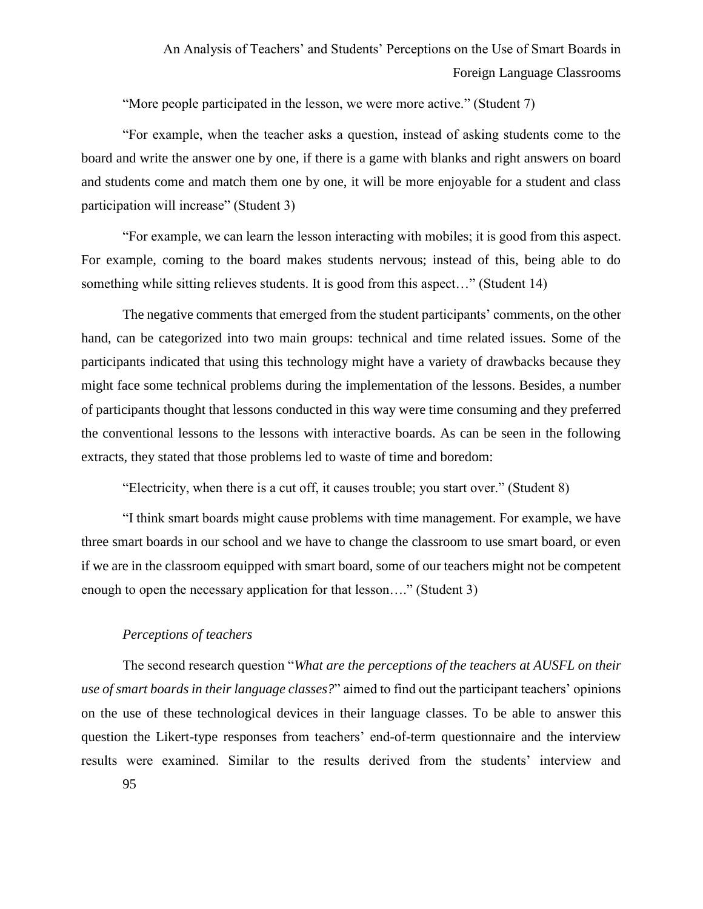"More people participated in the lesson, we were more active." (Student 7)

"For example, when the teacher asks a question, instead of asking students come to the board and write the answer one by one, if there is a game with blanks and right answers on board and students come and match them one by one, it will be more enjoyable for a student and class participation will increase" (Student 3)

"For example, we can learn the lesson interacting with mobiles; it is good from this aspect. For example, coming to the board makes students nervous; instead of this, being able to do something while sitting relieves students. It is good from this aspect..." (Student 14)

The negative comments that emerged from the student participants' comments, on the other hand, can be categorized into two main groups: technical and time related issues. Some of the participants indicated that using this technology might have a variety of drawbacks because they might face some technical problems during the implementation of the lessons. Besides, a number of participants thought that lessons conducted in this way were time consuming and they preferred the conventional lessons to the lessons with interactive boards. As can be seen in the following extracts, they stated that those problems led to waste of time and boredom:

"Electricity, when there is a cut off, it causes trouble; you start over." (Student 8)

"I think smart boards might cause problems with time management. For example, we have three smart boards in our school and we have to change the classroom to use smart board, or even if we are in the classroom equipped with smart board, some of our teachers might not be competent enough to open the necessary application for that lesson...." (Student 3)

## *Perceptions of teachers*

The second research question "*What are the perceptions of the teachers at AUSFL on their use of smart boards in their language classes?*" aimed to find out the participant teachers' opinions on the use of these technological devices in their language classes. To be able to answer this question the Likert-type responses from teachers' end-of-term questionnaire and the interview results were examined. Similar to the results derived from the students' interview and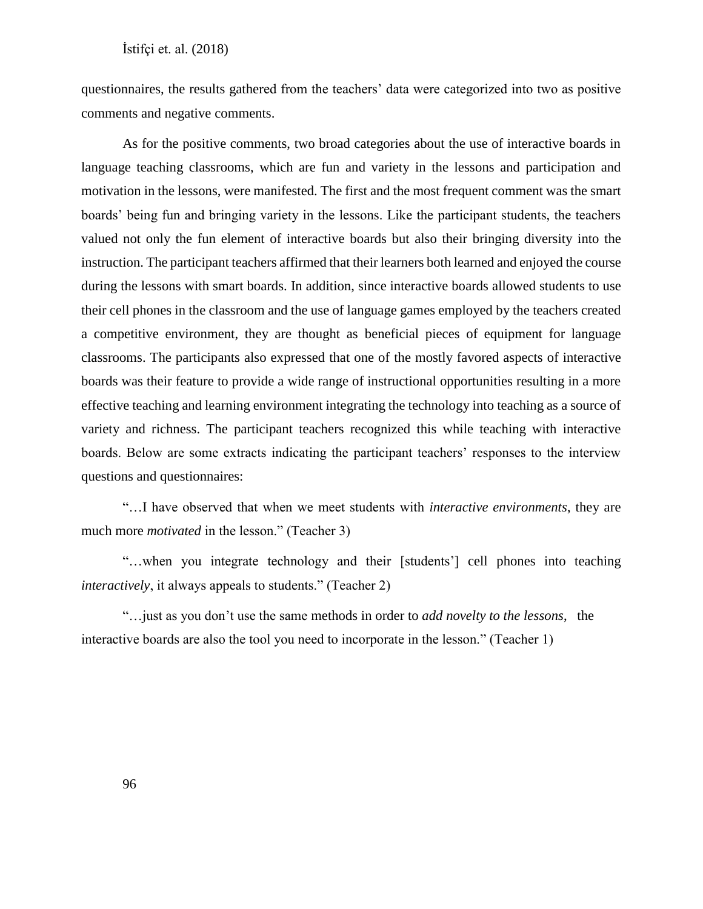questionnaires, the results gathered from the teachers' data were categorized into two as positive comments and negative comments.

As for the positive comments, two broad categories about the use of interactive boards in language teaching classrooms, which are fun and variety in the lessons and participation and motivation in the lessons, were manifested. The first and the most frequent comment was the smart boards' being fun and bringing variety in the lessons. Like the participant students, the teachers valued not only the fun element of interactive boards but also their bringing diversity into the instruction. The participant teachers affirmed that their learners both learned and enjoyed the course during the lessons with smart boards. In addition, since interactive boards allowed students to use their cell phones in the classroom and the use of language games employed by the teachers created a competitive environment, they are thought as beneficial pieces of equipment for language classrooms. The participants also expressed that one of the mostly favored aspects of interactive boards was their feature to provide a wide range of instructional opportunities resulting in a more effective teaching and learning environment integrating the technology into teaching as a source of variety and richness. The participant teachers recognized this while teaching with interactive boards. Below are some extracts indicating the participant teachers' responses to the interview questions and questionnaires:

"…I have observed that when we meet students with *interactive environments*, they are much more *motivated* in the lesson." (Teacher 3)

"…when you integrate technology and their [students'] cell phones into teaching *interactively*, it always appeals to students." (Teacher 2)

"…just as you don't use the same methods in order to *add novelty to the lessons*, the interactive boards are also the tool you need to incorporate in the lesson." (Teacher 1)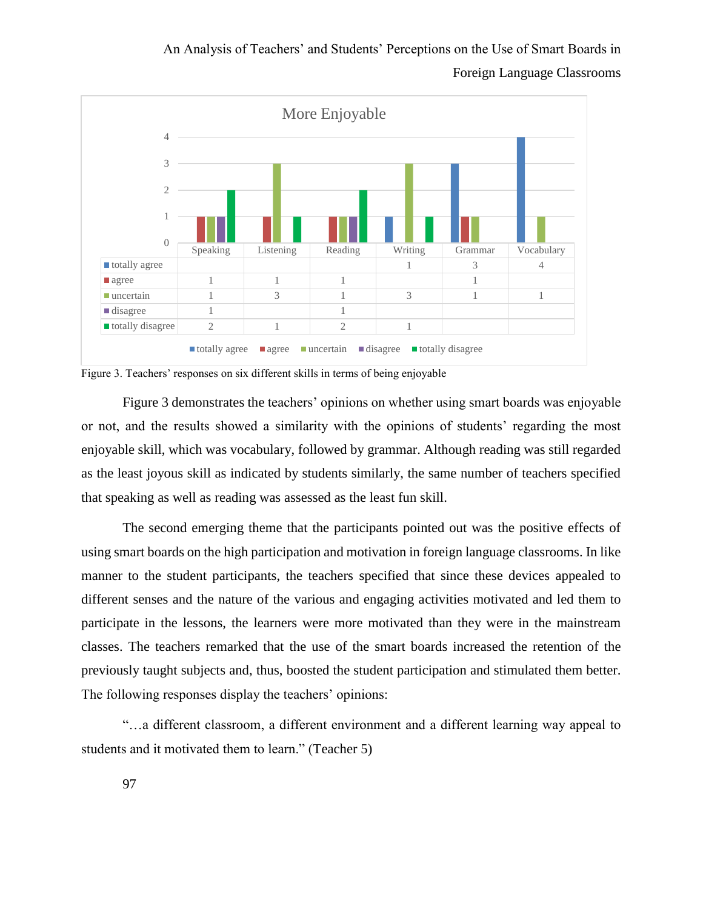

Figure 3. Teachers' responses on six different skills in terms of being enjoyable

Figure 3 demonstrates the teachers' opinions on whether using smart boards was enjoyable or not, and the results showed a similarity with the opinions of students' regarding the most enjoyable skill, which was vocabulary, followed by grammar. Although reading was still regarded as the least joyous skill as indicated by students similarly, the same number of teachers specified that speaking as well as reading was assessed as the least fun skill.

The second emerging theme that the participants pointed out was the positive effects of using smart boards on the high participation and motivation in foreign language classrooms. In like manner to the student participants, the teachers specified that since these devices appealed to different senses and the nature of the various and engaging activities motivated and led them to participate in the lessons, the learners were more motivated than they were in the mainstream classes. The teachers remarked that the use of the smart boards increased the retention of the previously taught subjects and, thus, boosted the student participation and stimulated them better. The following responses display the teachers' opinions:

"…a different classroom, a different environment and a different learning way appeal to students and it motivated them to learn." (Teacher 5)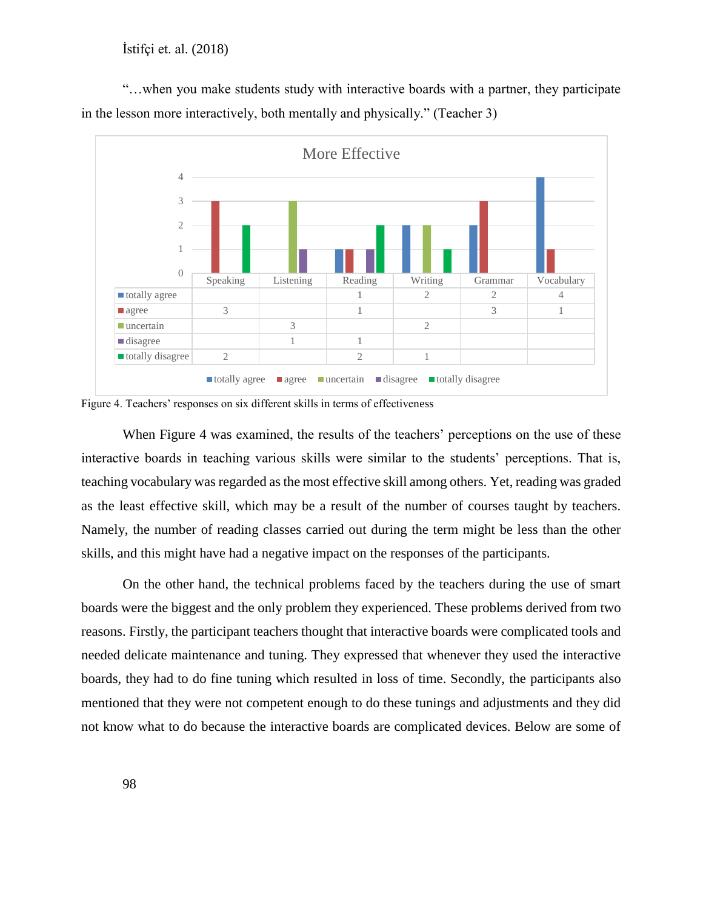"…when you make students study with interactive boards with a partner, they participate in the lesson more interactively, both mentally and physically." (Teacher 3)



Figure 4. Teachers' responses on six different skills in terms of effectiveness

When Figure 4 was examined, the results of the teachers' perceptions on the use of these interactive boards in teaching various skills were similar to the students' perceptions. That is, teaching vocabulary was regarded as the most effective skill among others. Yet, reading was graded as the least effective skill, which may be a result of the number of courses taught by teachers. Namely, the number of reading classes carried out during the term might be less than the other skills, and this might have had a negative impact on the responses of the participants.

On the other hand, the technical problems faced by the teachers during the use of smart boards were the biggest and the only problem they experienced. These problems derived from two reasons. Firstly, the participant teachers thought that interactive boards were complicated tools and needed delicate maintenance and tuning. They expressed that whenever they used the interactive boards, they had to do fine tuning which resulted in loss of time. Secondly, the participants also mentioned that they were not competent enough to do these tunings and adjustments and they did not know what to do because the interactive boards are complicated devices. Below are some of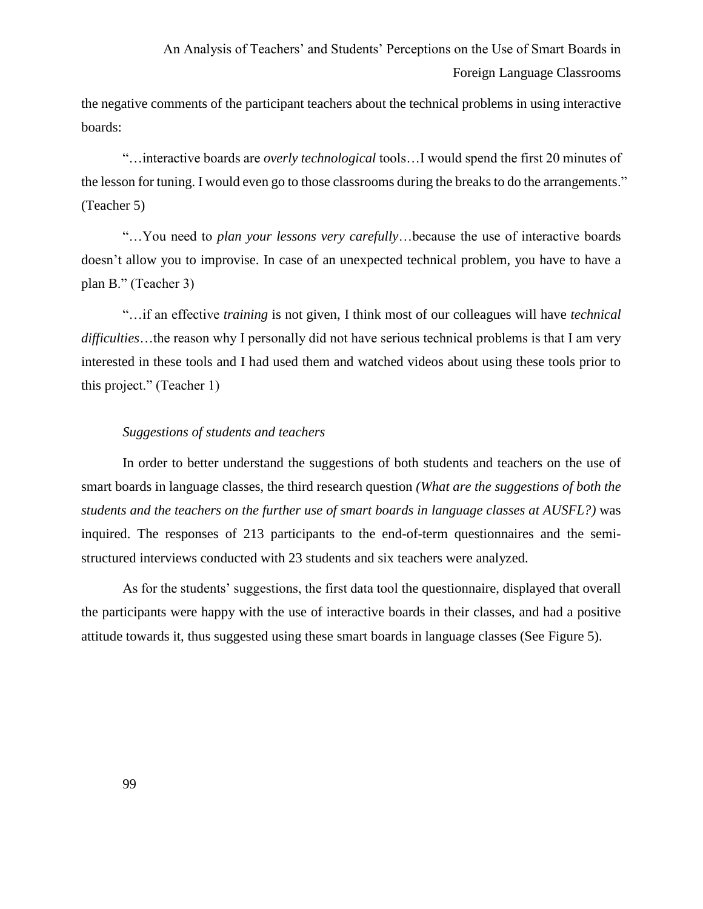the negative comments of the participant teachers about the technical problems in using interactive boards:

"…interactive boards are *overly technological* tools…I would spend the first 20 minutes of the lesson for tuning. I would even go to those classrooms during the breaks to do the arrangements." (Teacher 5)

"…You need to *plan your lessons very carefully*…because the use of interactive boards doesn't allow you to improvise. In case of an unexpected technical problem, you have to have a plan B." (Teacher 3)

"…if an effective *training* is not given, I think most of our colleagues will have *technical difficulties*…the reason why I personally did not have serious technical problems is that I am very interested in these tools and I had used them and watched videos about using these tools prior to this project." (Teacher 1)

# *Suggestions of students and teachers*

In order to better understand the suggestions of both students and teachers on the use of smart boards in language classes, the third research question *(What are the suggestions of both the students and the teachers on the further use of smart boards in language classes at AUSFL?)* was inquired. The responses of 213 participants to the end-of-term questionnaires and the semistructured interviews conducted with 23 students and six teachers were analyzed.

As for the students' suggestions, the first data tool the questionnaire, displayed that overall the participants were happy with the use of interactive boards in their classes, and had a positive attitude towards it, thus suggested using these smart boards in language classes (See Figure 5).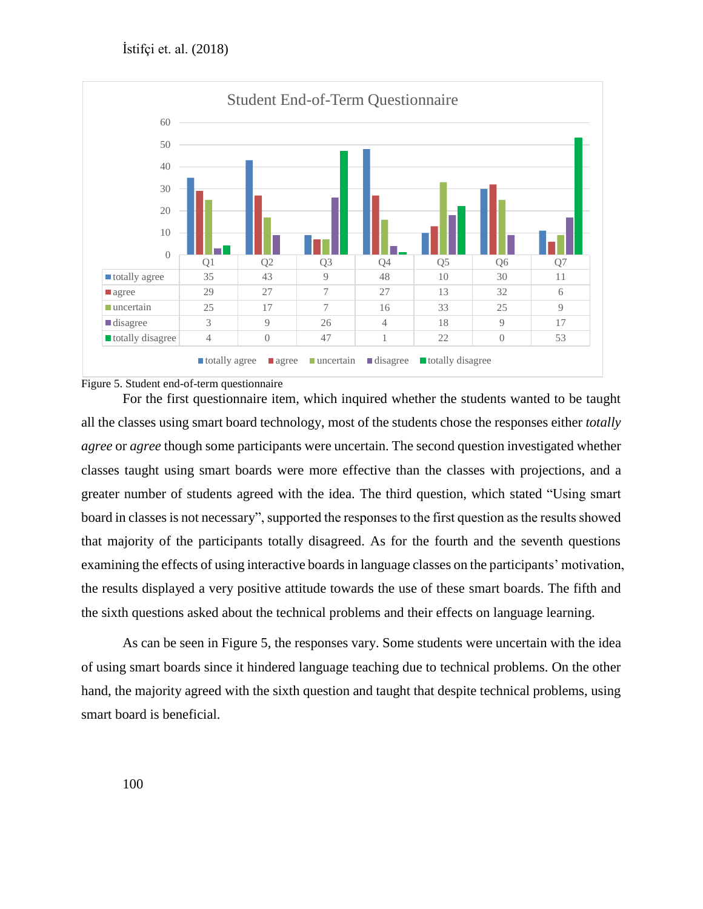



For the first questionnaire item, which inquired whether the students wanted to be taught all the classes using smart board technology, most of the students chose the responses either *totally agree* or *agree* though some participants were uncertain. The second question investigated whether classes taught using smart boards were more effective than the classes with projections, and a greater number of students agreed with the idea. The third question, which stated "Using smart board in classes is not necessary", supported the responses to the first question as the results showed that majority of the participants totally disagreed. As for the fourth and the seventh questions examining the effects of using interactive boards in language classes on the participants' motivation, the results displayed a very positive attitude towards the use of these smart boards. The fifth and the sixth questions asked about the technical problems and their effects on language learning.

As can be seen in Figure 5, the responses vary. Some students were uncertain with the idea of using smart boards since it hindered language teaching due to technical problems. On the other hand, the majority agreed with the sixth question and taught that despite technical problems, using smart board is beneficial.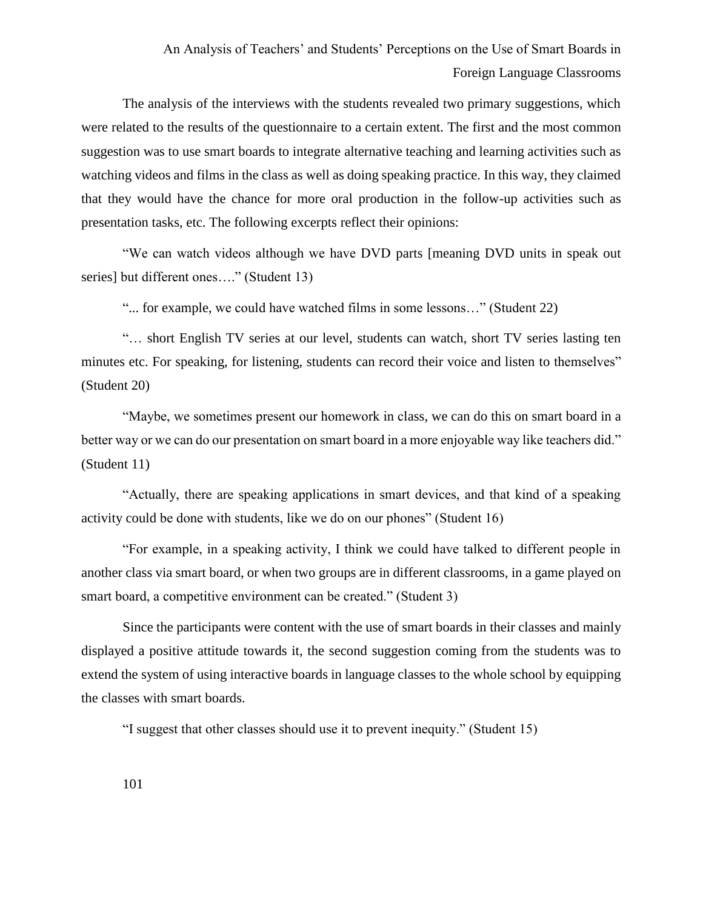The analysis of the interviews with the students revealed two primary suggestions, which were related to the results of the questionnaire to a certain extent. The first and the most common suggestion was to use smart boards to integrate alternative teaching and learning activities such as watching videos and films in the class as well as doing speaking practice. In this way, they claimed that they would have the chance for more oral production in the follow-up activities such as presentation tasks, etc. The following excerpts reflect their opinions:

"We can watch videos although we have DVD parts [meaning DVD units in speak out series] but different ones...." (Student 13)

"... for example, we could have watched films in some lessons..." (Student 22)

"… short English TV series at our level, students can watch, short TV series lasting ten minutes etc. For speaking, for listening, students can record their voice and listen to themselves" (Student 20)

"Maybe, we sometimes present our homework in class, we can do this on smart board in a better way or we can do our presentation on smart board in a more enjoyable way like teachers did." (Student 11)

"Actually, there are speaking applications in smart devices, and that kind of a speaking activity could be done with students, like we do on our phones" (Student 16)

"For example, in a speaking activity, I think we could have talked to different people in another class via smart board, or when two groups are in different classrooms, in a game played on smart board, a competitive environment can be created." (Student 3)

Since the participants were content with the use of smart boards in their classes and mainly displayed a positive attitude towards it, the second suggestion coming from the students was to extend the system of using interactive boards in language classes to the whole school by equipping the classes with smart boards.

"I suggest that other classes should use it to prevent inequity." (Student 15)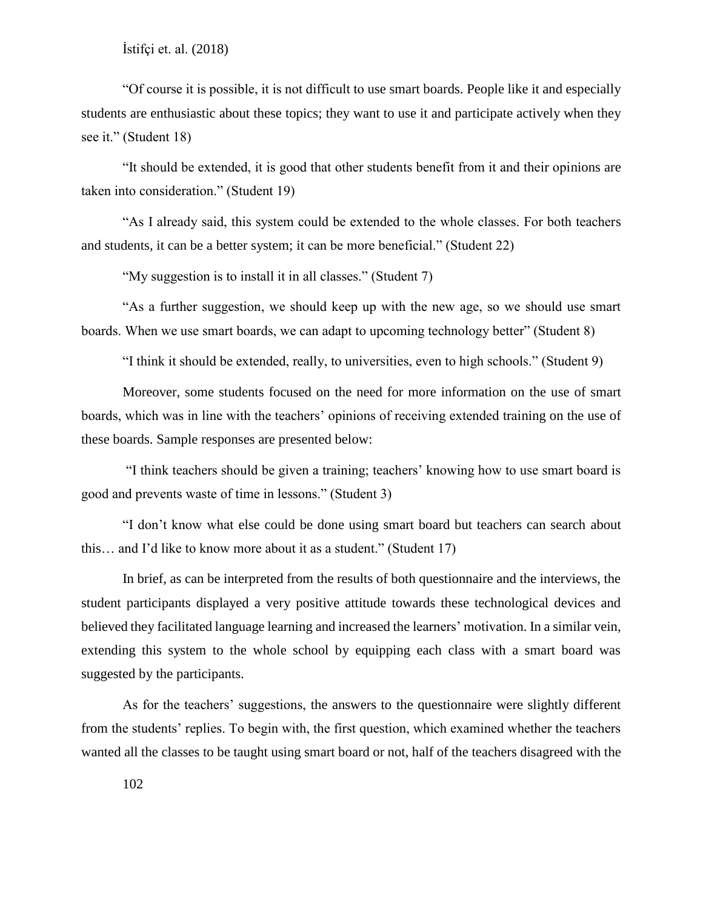"Of course it is possible, it is not difficult to use smart boards. People like it and especially students are enthusiastic about these topics; they want to use it and participate actively when they see it." (Student 18)

"It should be extended, it is good that other students benefit from it and their opinions are taken into consideration." (Student 19)

"As I already said, this system could be extended to the whole classes. For both teachers and students, it can be a better system; it can be more beneficial." (Student 22)

"My suggestion is to install it in all classes." (Student 7)

"As a further suggestion, we should keep up with the new age, so we should use smart boards. When we use smart boards, we can adapt to upcoming technology better" (Student 8)

"I think it should be extended, really, to universities, even to high schools." (Student 9)

Moreover, some students focused on the need for more information on the use of smart boards, which was in line with the teachers' opinions of receiving extended training on the use of these boards. Sample responses are presented below:

"I think teachers should be given a training; teachers' knowing how to use smart board is good and prevents waste of time in lessons." (Student 3)

"I don't know what else could be done using smart board but teachers can search about this… and I'd like to know more about it as a student." (Student 17)

In brief, as can be interpreted from the results of both questionnaire and the interviews, the student participants displayed a very positive attitude towards these technological devices and believed they facilitated language learning and increased the learners' motivation. In a similar vein, extending this system to the whole school by equipping each class with a smart board was suggested by the participants.

As for the teachers' suggestions, the answers to the questionnaire were slightly different from the students' replies. To begin with, the first question, which examined whether the teachers wanted all the classes to be taught using smart board or not, half of the teachers disagreed with the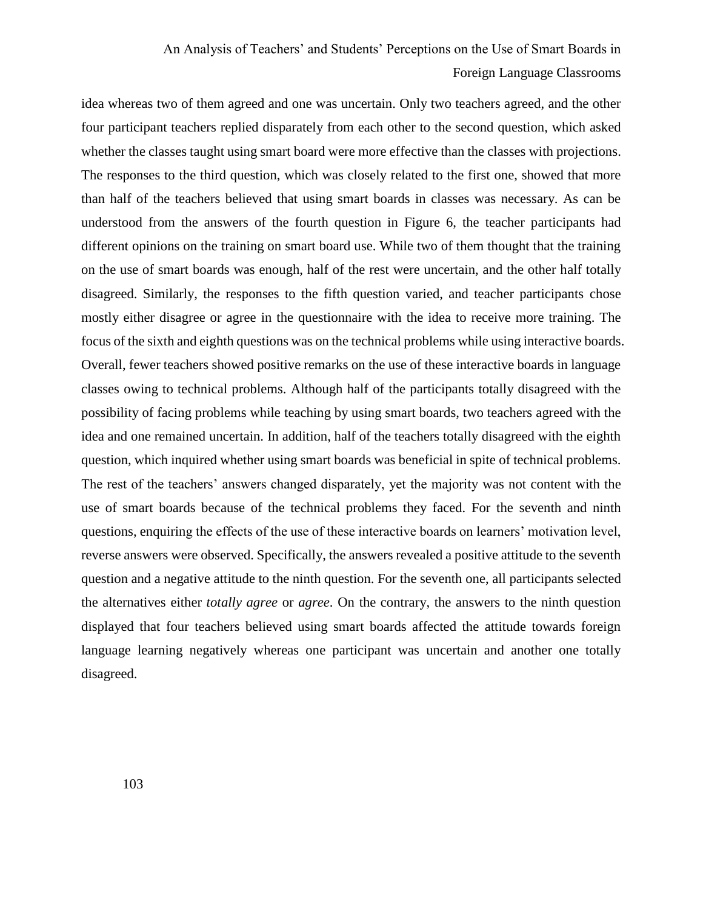idea whereas two of them agreed and one was uncertain. Only two teachers agreed, and the other four participant teachers replied disparately from each other to the second question, which asked whether the classes taught using smart board were more effective than the classes with projections. The responses to the third question, which was closely related to the first one, showed that more than half of the teachers believed that using smart boards in classes was necessary. As can be understood from the answers of the fourth question in Figure 6, the teacher participants had different opinions on the training on smart board use. While two of them thought that the training on the use of smart boards was enough, half of the rest were uncertain, and the other half totally disagreed. Similarly, the responses to the fifth question varied, and teacher participants chose mostly either disagree or agree in the questionnaire with the idea to receive more training. The focus of the sixth and eighth questions was on the technical problems while using interactive boards. Overall, fewer teachers showed positive remarks on the use of these interactive boards in language classes owing to technical problems. Although half of the participants totally disagreed with the possibility of facing problems while teaching by using smart boards, two teachers agreed with the idea and one remained uncertain. In addition, half of the teachers totally disagreed with the eighth question, which inquired whether using smart boards was beneficial in spite of technical problems. The rest of the teachers' answers changed disparately, yet the majority was not content with the use of smart boards because of the technical problems they faced. For the seventh and ninth questions, enquiring the effects of the use of these interactive boards on learners' motivation level, reverse answers were observed. Specifically, the answers revealed a positive attitude to the seventh question and a negative attitude to the ninth question. For the seventh one, all participants selected the alternatives either *totally agree* or *agree*. On the contrary, the answers to the ninth question displayed that four teachers believed using smart boards affected the attitude towards foreign language learning negatively whereas one participant was uncertain and another one totally disagreed.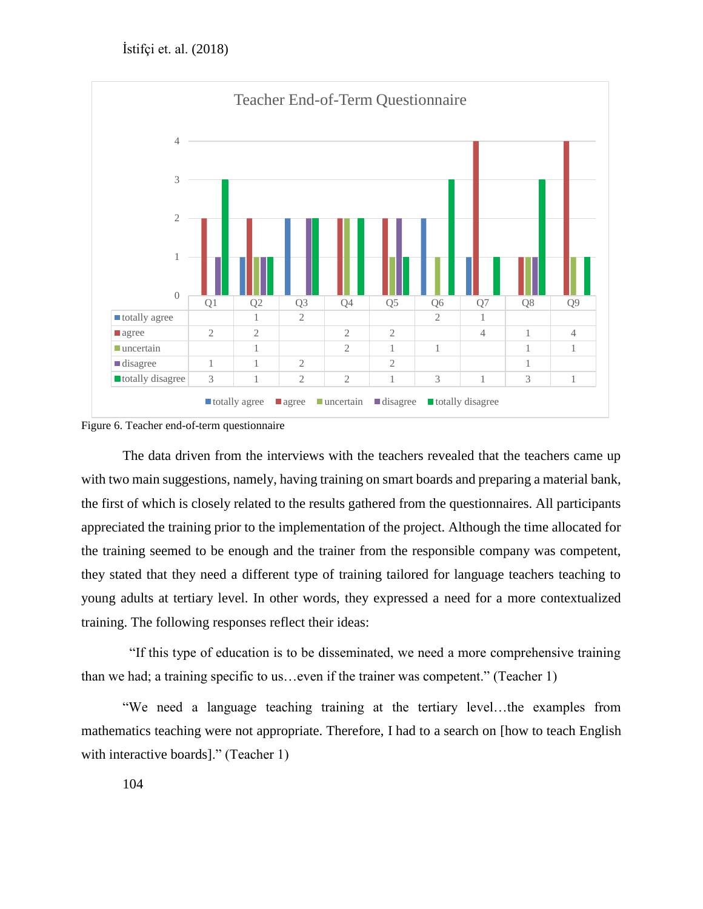

Figure 6. Teacher end-of-term questionnaire

The data driven from the interviews with the teachers revealed that the teachers came up with two main suggestions, namely, having training on smart boards and preparing a material bank, the first of which is closely related to the results gathered from the questionnaires. All participants appreciated the training prior to the implementation of the project. Although the time allocated for the training seemed to be enough and the trainer from the responsible company was competent, they stated that they need a different type of training tailored for language teachers teaching to young adults at tertiary level. In other words, they expressed a need for a more contextualized training. The following responses reflect their ideas:

 "If this type of education is to be disseminated, we need a more comprehensive training than we had; a training specific to us…even if the trainer was competent." (Teacher 1)

"We need a language teaching training at the tertiary level…the examples from mathematics teaching were not appropriate. Therefore, I had to a search on [how to teach English with interactive boards]." (Teacher 1)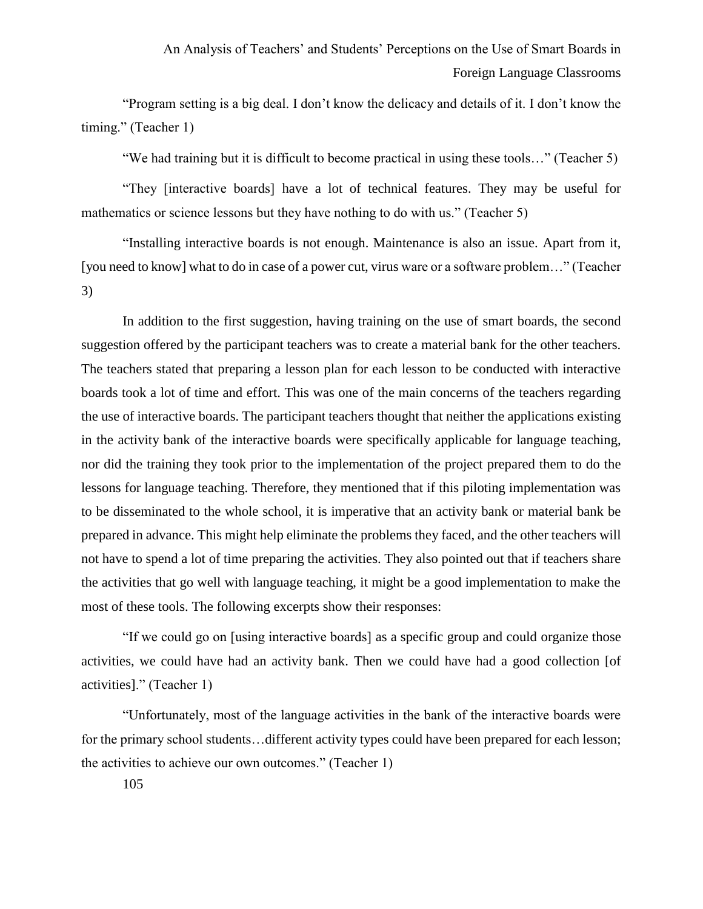"Program setting is a big deal. I don't know the delicacy and details of it. I don't know the timing." (Teacher 1)

"We had training but it is difficult to become practical in using these tools…" (Teacher 5)

"They [interactive boards] have a lot of technical features. They may be useful for mathematics or science lessons but they have nothing to do with us." (Teacher 5)

"Installing interactive boards is not enough. Maintenance is also an issue. Apart from it, [you need to know] what to do in case of a power cut, virus ware or a software problem..." (Teacher 3)

In addition to the first suggestion, having training on the use of smart boards, the second suggestion offered by the participant teachers was to create a material bank for the other teachers. The teachers stated that preparing a lesson plan for each lesson to be conducted with interactive boards took a lot of time and effort. This was one of the main concerns of the teachers regarding the use of interactive boards. The participant teachers thought that neither the applications existing in the activity bank of the interactive boards were specifically applicable for language teaching, nor did the training they took prior to the implementation of the project prepared them to do the lessons for language teaching. Therefore, they mentioned that if this piloting implementation was to be disseminated to the whole school, it is imperative that an activity bank or material bank be prepared in advance. This might help eliminate the problems they faced, and the other teachers will not have to spend a lot of time preparing the activities. They also pointed out that if teachers share the activities that go well with language teaching, it might be a good implementation to make the most of these tools. The following excerpts show their responses:

"If we could go on [using interactive boards] as a specific group and could organize those activities, we could have had an activity bank. Then we could have had a good collection [of activities]." (Teacher 1)

"Unfortunately, most of the language activities in the bank of the interactive boards were for the primary school students…different activity types could have been prepared for each lesson; the activities to achieve our own outcomes." (Teacher 1)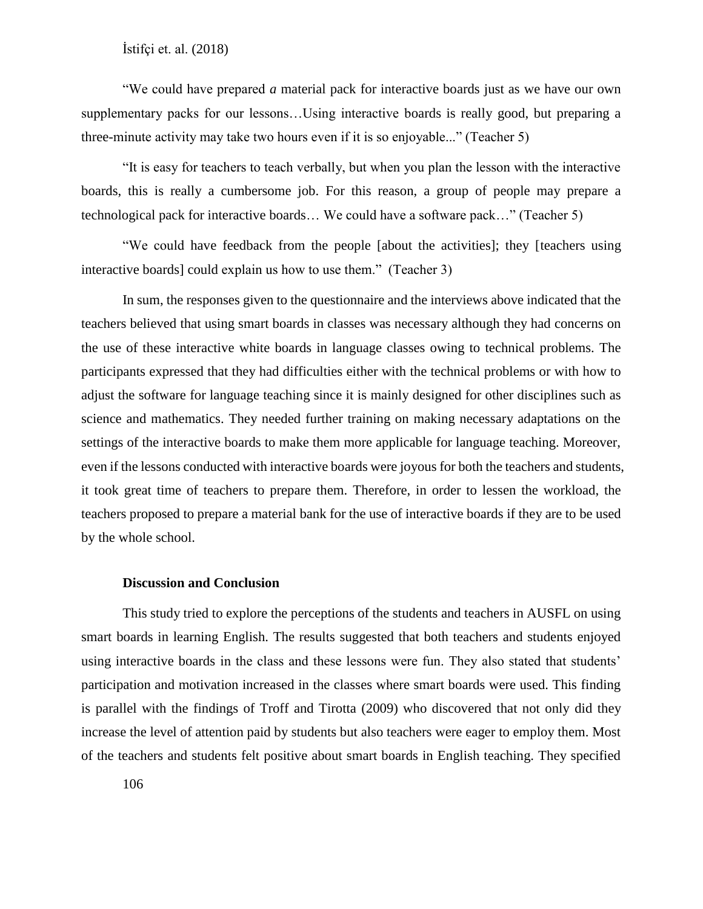"We could have prepared *a* material pack for interactive boards just as we have our own supplementary packs for our lessons…Using interactive boards is really good, but preparing a three-minute activity may take two hours even if it is so enjoyable..." (Teacher 5)

"It is easy for teachers to teach verbally, but when you plan the lesson with the interactive boards, this is really a cumbersome job. For this reason, a group of people may prepare a technological pack for interactive boards… We could have a software pack…" (Teacher 5)

"We could have feedback from the people [about the activities]; they [teachers using interactive boards] could explain us how to use them." (Teacher 3)

In sum, the responses given to the questionnaire and the interviews above indicated that the teachers believed that using smart boards in classes was necessary although they had concerns on the use of these interactive white boards in language classes owing to technical problems. The participants expressed that they had difficulties either with the technical problems or with how to adjust the software for language teaching since it is mainly designed for other disciplines such as science and mathematics. They needed further training on making necessary adaptations on the settings of the interactive boards to make them more applicable for language teaching. Moreover, even if the lessons conducted with interactive boards were joyous for both the teachers and students, it took great time of teachers to prepare them. Therefore, in order to lessen the workload, the teachers proposed to prepare a material bank for the use of interactive boards if they are to be used by the whole school.

### **Discussion and Conclusion**

This study tried to explore the perceptions of the students and teachers in AUSFL on using smart boards in learning English. The results suggested that both teachers and students enjoyed using interactive boards in the class and these lessons were fun. They also stated that students' participation and motivation increased in the classes where smart boards were used. This finding is parallel with the findings of Troff and Tirotta (2009) who discovered that not only did they increase the level of attention paid by students but also teachers were eager to employ them. Most of the teachers and students felt positive about smart boards in English teaching. They specified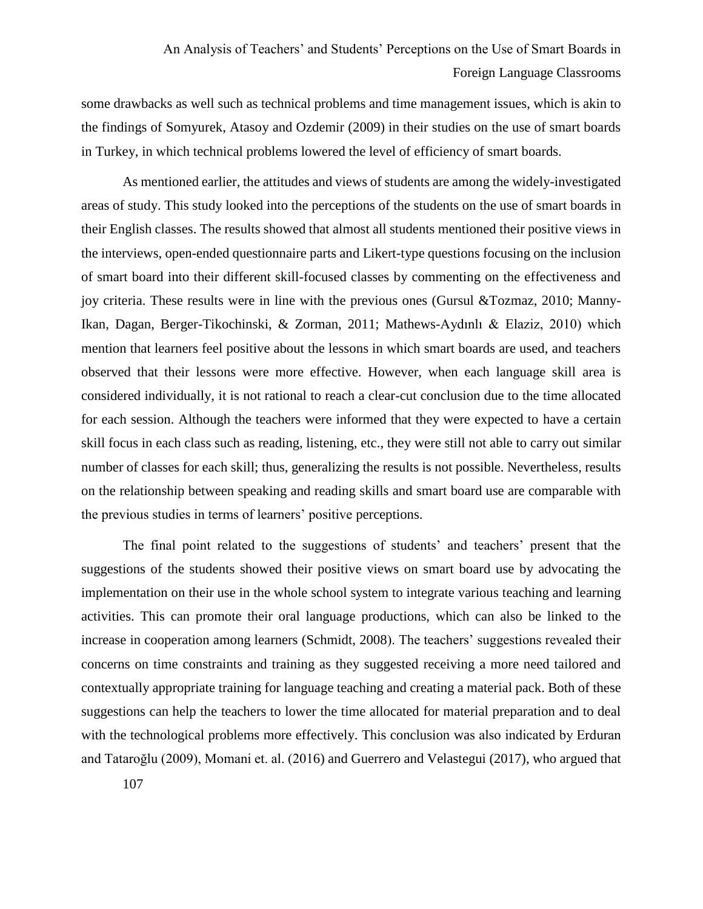some drawbacks as well such as technical problems and time management issues, which is akin to the findings of Somyurek, Atasoy and Ozdemir (2009) in their studies on the use of smart boards in Turkey, in which technical problems lowered the level of efficiency of smart boards.

As mentioned earlier, the attitudes and views of students are among the widely-investigated areas of study. This study looked into the perceptions of the students on the use of smart boards in their English classes. The results showed that almost all students mentioned their positive views in the interviews, open-ended questionnaire parts and Likert-type questions focusing on the inclusion of smart board into their different skill-focused classes by commenting on the effectiveness and joy criteria. These results were in line with the previous ones (Gursul &Tozmaz, 2010; Manny-Ikan, Dagan, Berger-Tikochinski, & Zorman, 2011; Mathews-Aydınlı & Elaziz, 2010) which mention that learners feel positive about the lessons in which smart boards are used, and teachers observed that their lessons were more effective. However, when each language skill area is considered individually, it is not rational to reach a clear-cut conclusion due to the time allocated for each session. Although the teachers were informed that they were expected to have a certain skill focus in each class such as reading, listening, etc., they were still not able to carry out similar number of classes for each skill; thus, generalizing the results is not possible. Nevertheless, results on the relationship between speaking and reading skills and smart board use are comparable with the previous studies in terms of learners' positive perceptions.

The final point related to the suggestions of students' and teachers' present that the suggestions of the students showed their positive views on smart board use by advocating the implementation on their use in the whole school system to integrate various teaching and learning activities. This can promote their oral language productions, which can also be linked to the increase in cooperation among learners (Schmidt, 2008). The teachers' suggestions revealed their concerns on time constraints and training as they suggested receiving a more need tailored and contextually appropriate training for language teaching and creating a material pack. Both of these suggestions can help the teachers to lower the time allocated for material preparation and to deal with the technological problems more effectively. This conclusion was also indicated by Erduran and Tataroğlu (2009), Momani et. al. (2016) and Guerrero and Velastegui (2017), who argued that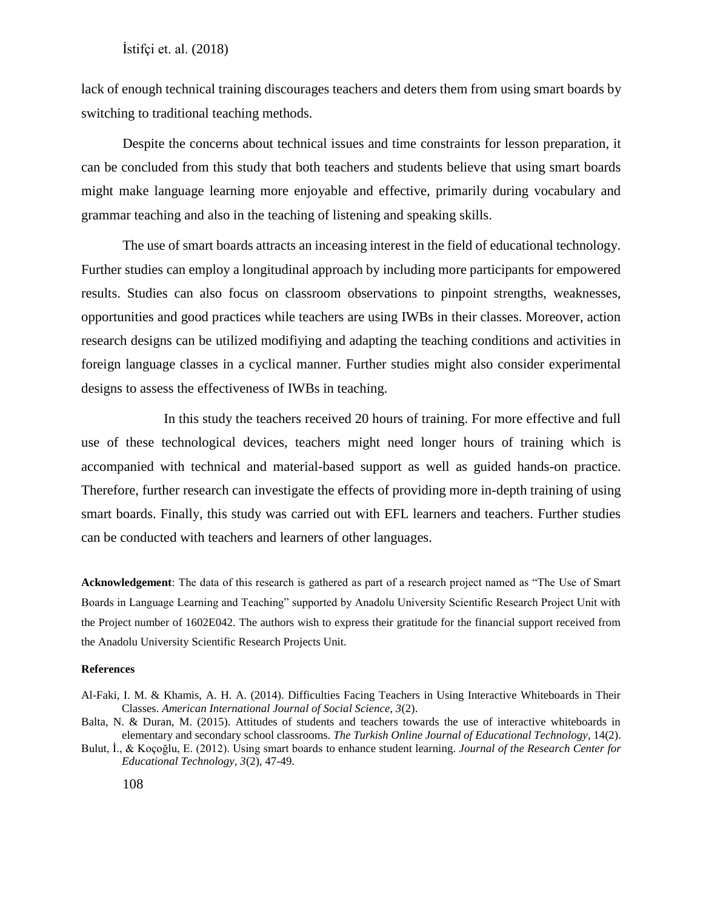lack of enough technical training discourages teachers and deters them from using smart boards by switching to traditional teaching methods.

Despite the concerns about technical issues and time constraints for lesson preparation, it can be concluded from this study that both teachers and students believe that using smart boards might make language learning more enjoyable and effective, primarily during vocabulary and grammar teaching and also in the teaching of listening and speaking skills.

The use of smart boards attracts an inceasing interest in the field of educational technology. Further studies can employ a longitudinal approach by including more participants for empowered results. Studies can also focus on classroom observations to pinpoint strengths, weaknesses, opportunities and good practices while teachers are using IWBs in their classes. Moreover, action research designs can be utilized modifiying and adapting the teaching conditions and activities in foreign language classes in a cyclical manner. Further studies might also consider experimental designs to assess the effectiveness of IWBs in teaching.

In this study the teachers received 20 hours of training. For more effective and full use of these technological devices, teachers might need longer hours of training which is accompanied with technical and material-based support as well as guided hands-on practice. Therefore, further research can investigate the effects of providing more in-depth training of using smart boards. Finally, this study was carried out with EFL learners and teachers. Further studies can be conducted with teachers and learners of other languages.

**Acknowledgement**: The data of this research is gathered as part of a research project named as "The Use of Smart Boards in Language Learning and Teaching" supported by Anadolu University Scientific Research Project Unit with the Project number of 1602E042. The authors wish to express their gratitude for the financial support received from the Anadolu University Scientific Research Projects Unit.

#### **References**

- Al-Faki, I. M. & Khamis, A. H. A. (2014). Difficulties Facing Teachers in Using Interactive Whiteboards in Their Classes. *American International Journal of Social Science, 3*(2).
- Balta, N. & Duran, M. (2015). Attitudes of students and teachers towards the use of interactive whiteboards in elementary and secondary school classrooms. *The Turkish Online Journal of Educational Technology*, 14(2).
- Bulut, İ., & Koçoğlu, E. (2012). Using smart boards to enhance student learning. *Journal of the Research Center for Educational Technology, 3*(2), 47-49.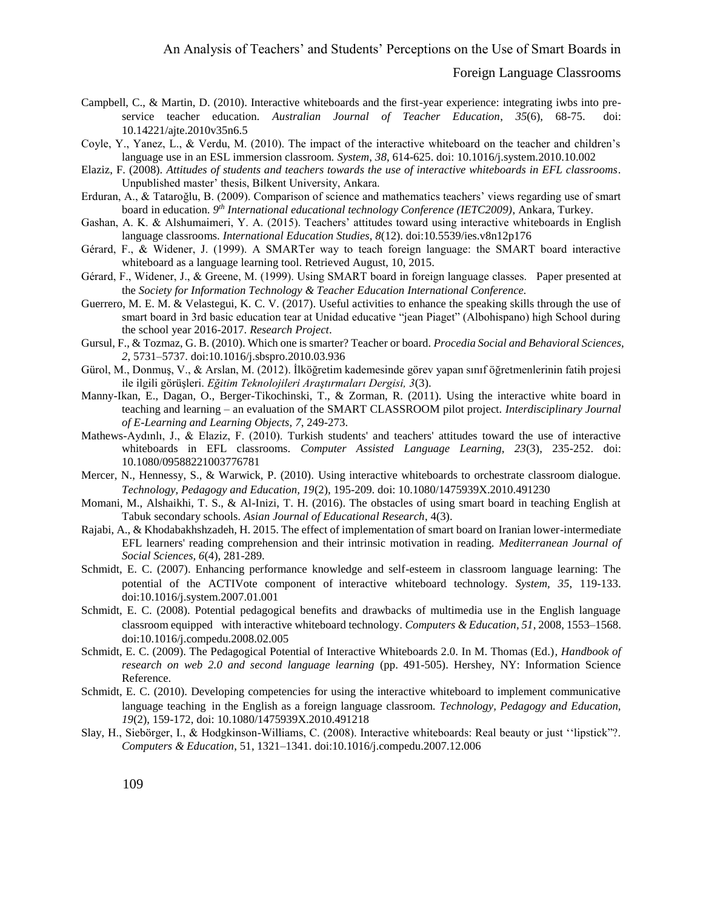#### Foreign Language Classrooms

- Campbell, C., & Martin, D. (2010). Interactive whiteboards and the first-year experience: integrating iwbs into preservice teacher education. *Australian Journal of Teacher Education*, *35*(6), 68-75. doi: 10.14221/ajte.2010v35n6.5
- Coyle, Y., Yanez, L., & Verdu, M. (2010). The impact of the interactive whiteboard on the teacher and children's language use in an ESL immersion classroom. *System*, *38*, 614-625. doi: 10.1016/j.system.2010.10.002
- Elaziz, F. (2008). *Attitudes of students and teachers towards the use of interactive whiteboards in EFL classrooms*. Unpublished master' thesis, Bilkent University, Ankara.
- Erduran, A., & Tataroğlu, B. (2009). Comparison of science and mathematics teachers' views regarding use of smart board in education. *9 th International educational technology Conference (IETC2009)*, Ankara, Turkey.
- Gashan, A. K. & Alshumaimeri, Y. A. (2015). Teachers' attitudes toward using interactive whiteboards in English language classrooms. *International Education Studies, 8*(12). doi:10.5539/ies.v8n12p176
- Gérard, F., & Widener, J. (1999). A SMARTer way to teach foreign language: the SMART board interactive whiteboard as a language learning tool. Retrieved August, 10, 2015.
- Gérard, F., Widener, J., & Greene, M. (1999). Using SMART board in foreign language classes. Paper presented at the *Society for Information Technology & Teacher Education International Conference.*
- Guerrero, M. E. M. & Velastegui, K. C. V. (2017). Useful activities to enhance the speaking skills through the use of smart board in 3rd basic education tear at Unidad educative "jean Piaget" (Albohispano) high School during the school year 2016-2017. *Research Project*.
- Gursul, F., & Tozmaz, G. B. (2010). Which one is smarter? Teacher or board. *Procedia Social and Behavioral Sciences*, *2*, 5731–5737. doi:10.1016/j.sbspro.2010.03.936
- Gürol, M., Donmuş, V., & Arslan, M. (2012). İlköğretim kademesinde görev yapan sınıf öğretmenlerinin fatih projesi ile ilgili görüşleri. *Eğitim Teknolojileri Araştırmaları Dergisi, 3*(3).
- Manny-Ikan, E., Dagan, O., Berger-Tikochinski, T., & Zorman, R. (2011). Using the interactive white board in teaching and learning – an evaluation of the SMART CLASSROOM pilot project. *Interdisciplinary Journal of E-Learning and Learning Objects, 7*, 249-273.
- Mathews-Aydınlı, J., & Elaziz, F. (2010). Turkish students' and teachers' attitudes toward the use of interactive whiteboards in EFL classrooms. *Computer Assisted Language Learning, 23*(3), 235-252. doi: 10.1080/09588221003776781
- Mercer, N., Hennessy, S., & Warwick, P. (2010). Using interactive whiteboards to orchestrate classroom dialogue. *Technology, Pedagogy and Education, 19*(2), 195-209. doi: 10.1080/1475939X.2010.491230
- Momani, M., Alshaikhi, T. S., & Al-Inizi, T. H. (2016). The obstacles of using smart board in teaching English at Tabuk secondary schools. *Asian Journal of Educational Research*, 4(3).
- Rajabi, A., & Khodabakhshzadeh, H. 2015. The effect of implementation of smart board on Iranian lower-intermediate EFL learners' reading comprehension and their intrinsic motivation in reading. *Mediterranean Journal of Social Sciences, 6*(4), 281-289.
- Schmidt, E. C. (2007). Enhancing performance knowledge and self-esteem in classroom language learning: The potential of the ACTIVote component of interactive whiteboard technology. *System, 35*, 119-133. doi:10.1016/j.system.2007.01.001
- Schmidt, E. C. (2008). Potential pedagogical benefits and drawbacks of multimedia use in the English language classroom equipped with interactive whiteboard technology. *Computers & Education, 51*, 2008, 1553–1568. doi:10.1016/j.compedu.2008.02.005
- Schmidt, E. C. (2009). The Pedagogical Potential of Interactive Whiteboards 2.0. In M. Thomas (Ed.)*, Handbook of research on web 2.0 and second language learning* (pp. 491-505). Hershey, NY: Information Science Reference.
- Schmidt, E. C. (2010). Developing competencies for using the interactive whiteboard to implement communicative language teaching in the English as a foreign language classroom. *Technology, Pedagogy and Education, 19*(2), 159-172, doi: 10.1080/1475939X.2010.491218
- Slay, H., Siebörger, I., & Hodgkinson-Williams, C. (2008). Interactive whiteboards: Real beauty or just ''lipstick"?. *Computers & Education*, 51, 1321–1341. doi:10.1016/j.compedu.2007.12.006